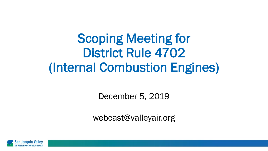Scoping Meeting for District Rule 4702 (Internal Combustion Engines)

December 5, 2019

webcast@valleyair.org

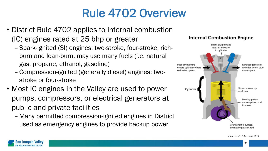## Rule 4702 Overview

- District Rule 4702 applies to internal combustion (IC) engines rated at 25 bhp or greater
	- Spark-ignited (SI) engines: two-stroke, four-stroke, richburn and lean-burn, may use many fuels (i.e. natural gas, propane, ethanol, gasoline)
	- Compression-ignited (generally diesel) engines: twostroke or four-stroke
- Most IC engines in the Valley are used to power pumps, compressors, or electrical generators at public and private facilities
	- Many permitted compression-ignited engines in District used as emergency engines to provide backup power

#### **Internal Combustion Engine**



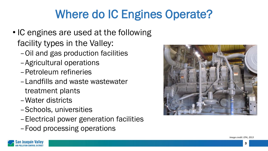# Where do IC Engines Operate?

- IC engines are used at the following facility types in the Valley:
	- –Oil and gas production facilities
	- –Agricultural operations
	- –Petroleum refineries
	- –Landfills and waste wastewater treatment plants
	- –Water districts
	- –Schools, universities
	- –Electrical power generation facilities
	- –Food processing operations



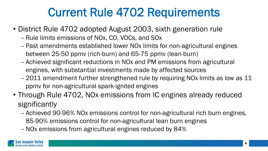### Current Rule 4702 Requirements

- District Rule 4702 adopted August 2003, sixth generation rule
	- Rule limits emissions of NOx, CO, VOCs, and SOx
	- Past amendments established lower NOx limits for non-agricultural engines between 25-50 ppmv (rich-burn) and 65-75 ppmv (lean-burn)
	- Achieved significant reductions in NOx and PM emissions from agricultural engines, with substantial investments made by affected sources
	- 2011 amendment further strengthened rule by requiring NOx limits as low as 11 ppmv for non-agricultural spark-ignited engines
- Through Rule 4702, NOx emissions from IC engines already reduced significantly
	- Achieved 90-96% NOx emissions control for non-agricultural rich burn engines, 85-90% emissions control for non-agricultural lean burn engines
	- –NOx emissions from agricultural engines reduced by 84%

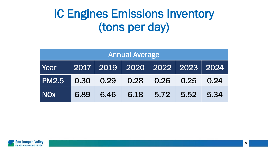### IC Engines Emissions Inventory (tons per day)

| <b>Annual Average</b>               |  |           |  |                     |  |  |  |  |
|-------------------------------------|--|-----------|--|---------------------|--|--|--|--|
| Year 2017 2019 2020 2022 2023 2024  |  |           |  |                     |  |  |  |  |
| PM2.5 0.30 0.29 0.28 0.26 0.25 0.24 |  |           |  |                     |  |  |  |  |
| NOx                                 |  | 6.89 6.46 |  | 6.18 5.72 5.52 5.34 |  |  |  |  |

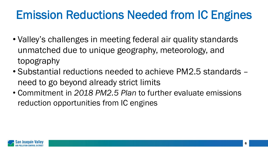### Emission Reductions Needed from IC Engines

- Valley's challenges in meeting federal air quality standards unmatched due to unique geography, meteorology, and topography
- Substantial reductions needed to achieve PM2.5 standards need to go beyond already strict limits
- Commitment in *2018 PM2.5 Plan* to further evaluate emissions reduction opportunities from IC engines

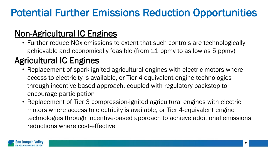### Potential Further Emissions Reduction Opportunities

### Non-Agricultural IC Engines

• Further reduce NOx emissions to extent that such controls are technologically achievable and economically feasible (from 11 ppmv to as low as 5 ppmv)

### Agricultural IC Engines

- Replacement of spark-ignited agricultural engines with electric motors where access to electricity is available, or Tier 4-equivalent engine technologies through incentive-based approach, coupled with regulatory backstop to encourage participation
- Replacement of Tier 3 compression-ignited agricultural engines with electric motors where access to electricity is available, or Tier 4-equivalent engine technologies through incentive-based approach to achieve additional emissions reductions where cost-effective

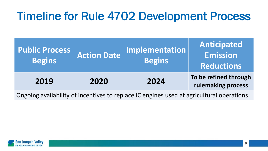### Timeline for Rule 4702 Development Process

| <b>Public Process</b><br><b>Begins</b> | <b>Action Date</b> | <b>Implementation</b><br><b>Begins</b> | Anticipated<br><b>Emission</b><br><b>Reductions</b> |
|----------------------------------------|--------------------|----------------------------------------|-----------------------------------------------------|
| 2019                                   | 2020               | 2024                                   | To be refined through<br>rulemaking process         |
|                                        |                    |                                        |                                                     |

Ongoing availability of incentives to replace IC engines used at agricultural operations

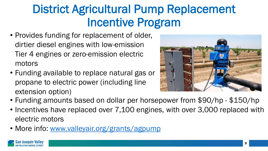### District Agricultural Pump Replacement Incentive Program

- Provides funding for replacement of older, dirtier diesel engines with low-emission Tier 4 engines or zero-emission electric motors
- Funding available to replace natural gas or propane to electric power (including line extension option)



- Funding amounts based on dollar per horsepower from \$90/hp \$150/hp
- Incentives have replaced over 7,100 engines, with over 3,000 replaced with electric motors
- More info: [www.valleyair.org/grants/agpump](http://www.valleyair.org/grants/agpump)

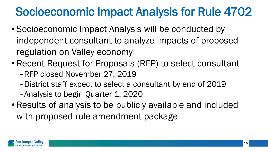### Socioeconomic Impact Analysis for Rule 4702

- Socioeconomic Impact Analysis will be conducted by independent consultant to analyze impacts of proposed regulation on Valley economy
- Recent Request for Proposals (RFP) to select consultant –RFP closed November 27, 2019
	- –District staff expect to select a consultant by end of 2019 –Analysis to begin Quarter 1, 2020
- Results of analysis to be publicly available and included with proposed rule amendment package

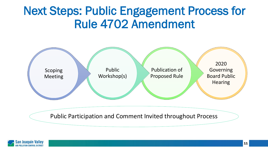### Next Steps: Public Engagement Process for Rule 4702 Amendment



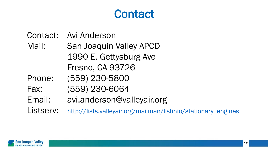### **Contact**

Contact: Avi Anderson

Mail: San Joaquin Valley APCD 1990 E. Gettysburg Ave Fresno, CA 93726

- Phone: (559) 230-5800
- Fax: (559) 230-6064
- Email: avi.anderson@valleyair.org

Listserv: [http://lists.valleyair.org/mailman/listinfo/stationary\\_engines](http://lists.valleyair.org/mailman/listinfo/stationary_engines)